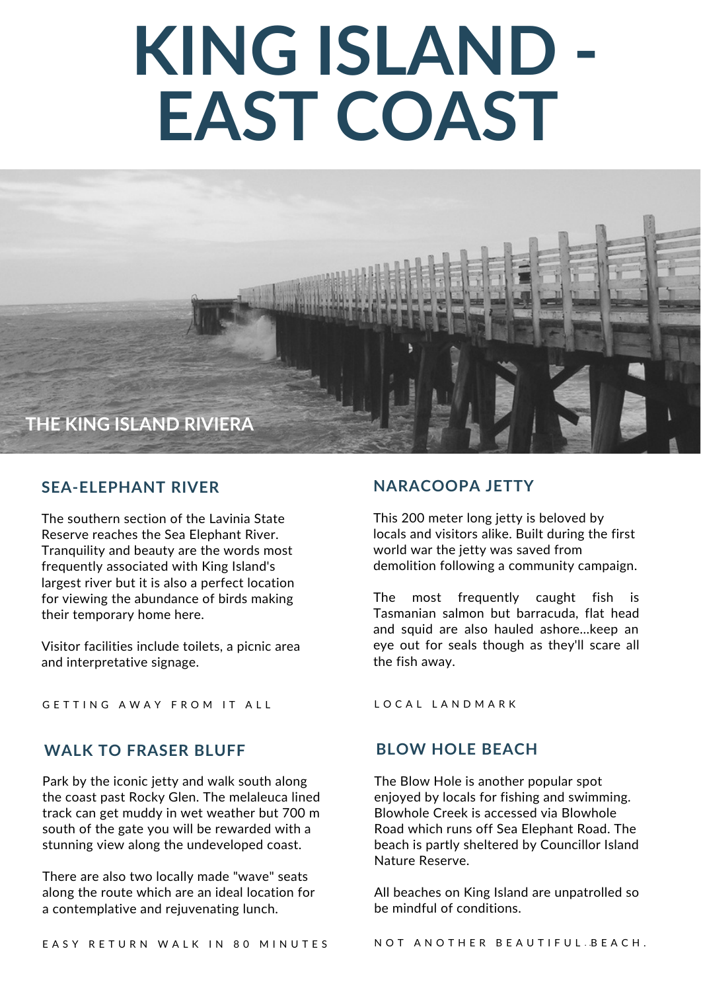# **KING ISLAND - EAST COAST**



#### **SEA-ELEPHANT RIVER**

The southern section of the Lavinia State Reserve reaches the Sea Elephant River. Tranquility and beauty are the words most frequently associated with King Island's largest river but it is also a perfect location for viewing the abundance of birds making their temporary home here.

Visitor facilities include toilets, a picnic area and interpretative signage.

GETTING AWAY FROM IT ALL

### **WALK TO FRASER BLUFF BLOW HOLE BEACH**

Park by the iconic jetty and walk south along the coast past Rocky Glen. The melaleuca lined track can get muddy in wet weather but 700 m south of the gate you will be rewarded with a stunning view along the undeveloped coast.

There are also two locally made "wave" seats along the route which are an ideal location for a contemplative and rejuvenating lunch.

### **NARACOOPA JETTY**

This 200 meter long jetty is beloved by locals and visitors alike. Built during the first world war the jetty was saved from demolition following a community campaign.

The most frequently caught fish is Tasmanian salmon but barracuda, flat head and squid are also hauled ashore...keep an eye out for seals though as they'll scare all the fish away.

L O C A L L A N D M A R K

The Blow Hole is another popular spot enjoyed by locals for fishing and swimming. Blowhole Creek is accessed via Blowhole Road which runs off Sea Elephant Road. The beach is partly sheltered by Councillor Island Nature Reserve.

All beaches on King Island are unpatrolled so be mindful of conditions.